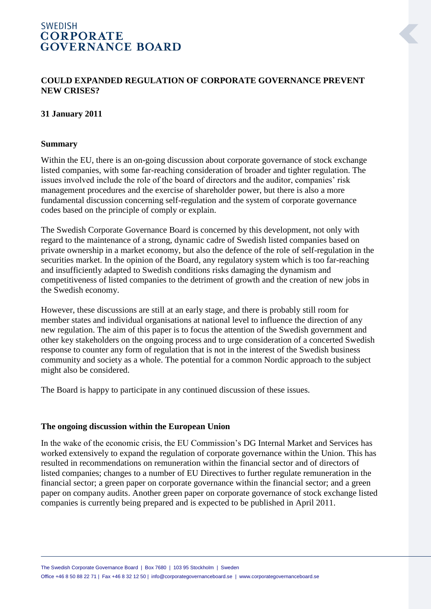# **SWEDISH CORPORATE GOVERNANCE BOARD**

## **COULD EXPANDED REGULATION OF CORPORATE GOVERNANCE PREVENT NEW CRISES?**

#### **31 January 2011**

#### **Summary**

Within the EU, there is an on-going discussion about corporate governance of stock exchange listed companies, with some far-reaching consideration of broader and tighter regulation. The issues involved include the role of the board of directors and the auditor, companies' risk management procedures and the exercise of shareholder power, but there is also a more fundamental discussion concerning self-regulation and the system of corporate governance codes based on the principle of comply or explain.

The Swedish Corporate Governance Board is concerned by this development, not only with regard to the maintenance of a strong, dynamic cadre of Swedish listed companies based on private ownership in a market economy, but also the defence of the role of self-regulation in the securities market. In the opinion of the Board, any regulatory system which is too far-reaching and insufficiently adapted to Swedish conditions risks damaging the dynamism and competitiveness of listed companies to the detriment of growth and the creation of new jobs in the Swedish economy.

However, these discussions are still at an early stage, and there is probably still room for member states and individual organisations at national level to influence the direction of any new regulation. The aim of this paper is to focus the attention of the Swedish government and other key stakeholders on the ongoing process and to urge consideration of a concerted Swedish response to counter any form of regulation that is not in the interest of the Swedish business community and society as a whole. The potential for a common Nordic approach to the subject might also be considered.

The Board is happy to participate in any continued discussion of these issues.

#### **The ongoing discussion within the European Union**

In the wake of the economic crisis, the EU Commission's DG Internal Market and Services has worked extensively to expand the regulation of corporate governance within the Union. This has resulted in recommendations on remuneration within the financial sector and of directors of listed companies; changes to a number of EU Directives to further regulate remuneration in the financial sector; a green paper on corporate governance within the financial sector; and a green paper on company audits. Another green paper on corporate governance of stock exchange listed companies is currently being prepared and is expected to be published in April 2011.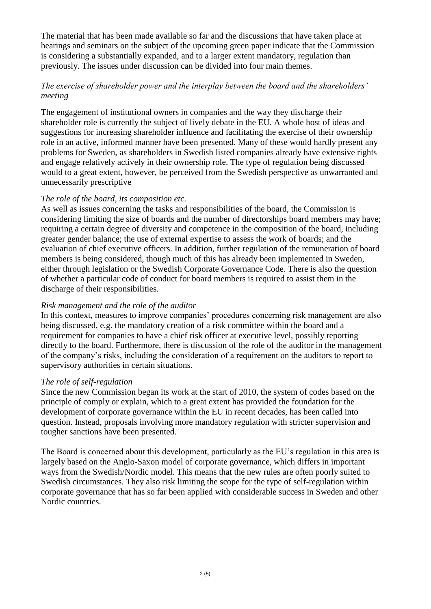The material that has been made available so far and the discussions that have taken place at hearings and seminars on the subject of the upcoming green paper indicate that the Commission is considering a substantially expanded, and to a larger extent mandatory, regulation than previously. The issues under discussion can be divided into four main themes.

## *The exercise of shareholder power and the interplay between the board and the shareholders' meeting*

The engagement of institutional owners in companies and the way they discharge their shareholder role is currently the subject of lively debate in the EU. A whole host of ideas and suggestions for increasing shareholder influence and facilitating the exercise of their ownership role in an active, informed manner have been presented. Many of these would hardly present any problems for Sweden, as shareholders in Swedish listed companies already have extensive rights and engage relatively actively in their ownership role. The type of regulation being discussed would to a great extent, however, be perceived from the Swedish perspective as unwarranted and unnecessarily prescriptive

## *The role of the board, its composition etc.*

As well as issues concerning the tasks and responsibilities of the board, the Commission is considering limiting the size of boards and the number of directorships board members may have; requiring a certain degree of diversity and competence in the composition of the board, including greater gender balance; the use of external expertise to assess the work of boards; and the evaluation of chief executive officers. In addition, further regulation of the remuneration of board members is being considered, though much of this has already been implemented in Sweden, either through legislation or the Swedish Corporate Governance Code. There is also the question of whether a particular code of conduct for board members is required to assist them in the discharge of their responsibilities.

### *Risk management and the role of the auditor*

In this context, measures to improve companies' procedures concerning risk management are also being discussed, e.g. the mandatory creation of a risk committee within the board and a requirement for companies to have a chief risk officer at executive level, possibly reporting directly to the board. Furthermore, there is discussion of the role of the auditor in the management of the company's risks, including the consideration of a requirement on the auditors to report to supervisory authorities in certain situations.

#### *The role of self-regulation*

Since the new Commission began its work at the start of 2010, the system of codes based on the principle of comply or explain, which to a great extent has provided the foundation for the development of corporate governance within the EU in recent decades, has been called into question. Instead, proposals involving more mandatory regulation with stricter supervision and tougher sanctions have been presented.

The Board is concerned about this development, particularly as the EU's regulation in this area is largely based on the Anglo-Saxon model of corporate governance, which differs in important ways from the Swedish/Nordic model. This means that the new rules are often poorly suited to Swedish circumstances. They also risk limiting the scope for the type of self-regulation within corporate governance that has so far been applied with considerable success in Sweden and other Nordic countries.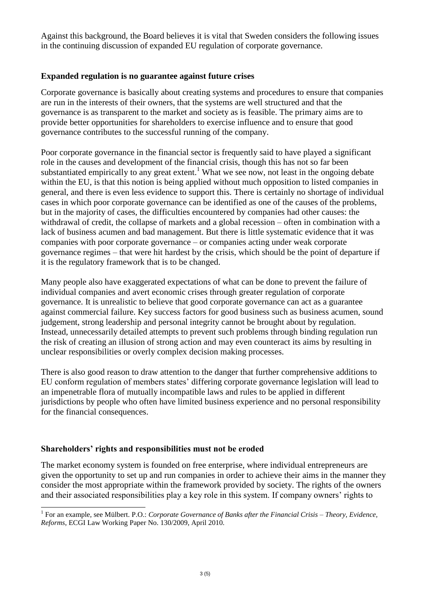Against this background, the Board believes it is vital that Sweden considers the following issues in the continuing discussion of expanded EU regulation of corporate governance.

## **Expanded regulation is no guarantee against future crises**

Corporate governance is basically about creating systems and procedures to ensure that companies are run in the interests of their owners, that the systems are well structured and that the governance is as transparent to the market and society as is feasible. The primary aims are to provide better opportunities for shareholders to exercise influence and to ensure that good governance contributes to the successful running of the company.

Poor corporate governance in the financial sector is frequently said to have played a significant role in the causes and development of the financial crisis, though this has not so far been substantiated empirically to any great extent.<sup>1</sup> What we see now, not least in the ongoing debate within the EU, is that this notion is being applied without much opposition to listed companies in general, and there is even less evidence to support this. There is certainly no shortage of individual cases in which poor corporate governance can be identified as one of the causes of the problems, but in the majority of cases, the difficulties encountered by companies had other causes: the withdrawal of credit, the collapse of markets and a global recession – often in combination with a lack of business acumen and bad management. But there is little systematic evidence that it was companies with poor corporate governance – or companies acting under weak corporate governance regimes – that were hit hardest by the crisis, which should be the point of departure if it is the regulatory framework that is to be changed.

Many people also have exaggerated expectations of what can be done to prevent the failure of individual companies and avert economic crises through greater regulation of corporate governance. It is unrealistic to believe that good corporate governance can act as a guarantee against commercial failure. Key success factors for good business such as business acumen, sound judgement, strong leadership and personal integrity cannot be brought about by regulation. Instead, unnecessarily detailed attempts to prevent such problems through binding regulation run the risk of creating an illusion of strong action and may even counteract its aims by resulting in unclear responsibilities or overly complex decision making processes.

There is also good reason to draw attention to the danger that further comprehensive additions to EU conform regulation of members states' differing corporate governance legislation will lead to an impenetrable flora of mutually incompatible laws and rules to be applied in different jurisdictions by people who often have limited business experience and no personal responsibility for the financial consequences.

## **Shareholders' rights and responsibilities must not be eroded**

The market economy system is founded on free enterprise, where individual entrepreneurs are given the opportunity to set up and run companies in order to achieve their aims in the manner they consider the most appropriate within the framework provided by society. The rights of the owners and their associated responsibilities play a key role in this system. If company owners' rights to

 1 For an example, see Mülbert. P.O.: *Corporate Governance of Banks after the Financial Crisis – Theory, Evidence, Reforms*, ECGI Law Working Paper No. 130/2009, April 2010.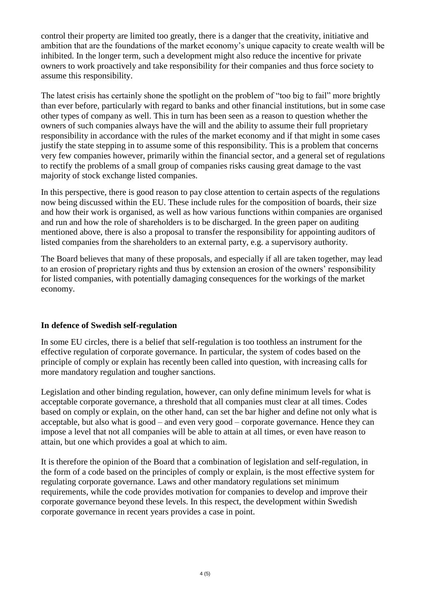control their property are limited too greatly, there is a danger that the creativity, initiative and ambition that are the foundations of the market economy's unique capacity to create wealth will be inhibited. In the longer term, such a development might also reduce the incentive for private owners to work proactively and take responsibility for their companies and thus force society to assume this responsibility.

The latest crisis has certainly shone the spotlight on the problem of "too big to fail" more brightly than ever before, particularly with regard to banks and other financial institutions, but in some case other types of company as well. This in turn has been seen as a reason to question whether the owners of such companies always have the will and the ability to assume their full proprietary responsibility in accordance with the rules of the market economy and if that might in some cases justify the state stepping in to assume some of this responsibility. This is a problem that concerns very few companies however, primarily within the financial sector, and a general set of regulations to rectify the problems of a small group of companies risks causing great damage to the vast majority of stock exchange listed companies.

In this perspective, there is good reason to pay close attention to certain aspects of the regulations now being discussed within the EU. These include rules for the composition of boards, their size and how their work is organised, as well as how various functions within companies are organised and run and how the role of shareholders is to be discharged. In the green paper on auditing mentioned above, there is also a proposal to transfer the responsibility for appointing auditors of listed companies from the shareholders to an external party, e.g. a supervisory authority.

The Board believes that many of these proposals, and especially if all are taken together, may lead to an erosion of proprietary rights and thus by extension an erosion of the owners' responsibility for listed companies, with potentially damaging consequences for the workings of the market economy.

## **In defence of Swedish self-regulation**

In some EU circles, there is a belief that self-regulation is too toothless an instrument for the effective regulation of corporate governance. In particular, the system of codes based on the principle of comply or explain has recently been called into question, with increasing calls for more mandatory regulation and tougher sanctions.

Legislation and other binding regulation, however, can only define minimum levels for what is acceptable corporate governance, a threshold that all companies must clear at all times. Codes based on comply or explain, on the other hand, can set the bar higher and define not only what is acceptable, but also what is good – and even very good – corporate governance. Hence they can impose a level that not all companies will be able to attain at all times, or even have reason to attain, but one which provides a goal at which to aim.

It is therefore the opinion of the Board that a combination of legislation and self-regulation, in the form of a code based on the principles of comply or explain, is the most effective system for regulating corporate governance. Laws and other mandatory regulations set minimum requirements, while the code provides motivation for companies to develop and improve their corporate governance beyond these levels. In this respect, the development within Swedish corporate governance in recent years provides a case in point.